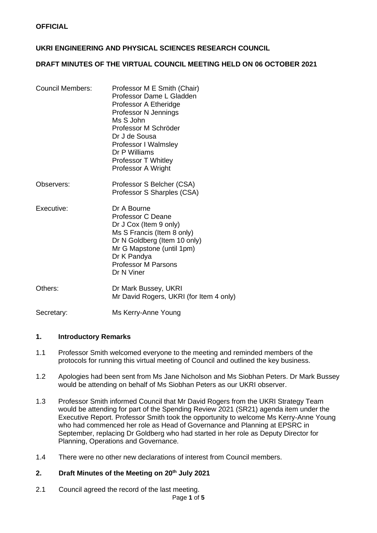## **UKRI ENGINEERING AND PHYSICAL SCIENCES RESEARCH COUNCIL**

# **DRAFT MINUTES OF THE VIRTUAL COUNCIL MEETING HELD ON 06 OCTOBER 2021**

| <b>Council Members:</b> | Professor M E Smith (Chair)<br>Professor Dame L Gladden<br>Professor A Etheridge<br>Professor N Jennings<br>Ms S John<br>Professor M Schröder<br>Dr J de Sousa<br><b>Professor I Walmsley</b><br>Dr P Williams<br><b>Professor T Whitley</b><br>Professor A Wright |
|-------------------------|--------------------------------------------------------------------------------------------------------------------------------------------------------------------------------------------------------------------------------------------------------------------|
| Observers:              | Professor S Belcher (CSA)<br>Professor S Sharples (CSA)                                                                                                                                                                                                            |
| Executive:              | Dr A Bourne<br>Professor C Deane<br>Dr J Cox (Item 9 only)<br>Ms S Francis (Item 8 only)<br>Dr N Goldberg (Item 10 only)<br>Mr G Mapstone (until 1pm)                                                                                                              |

Others: Dr Mark Bussey, UKRI Mr David Rogers, UKRI (for Item 4 only)

Professor M Parsons

Dr K Pandya

Dr N Viner

Secretary: Ms Kerry-Anne Young

### **1. Introductory Remarks**

- 1.1 Professor Smith welcomed everyone to the meeting and reminded members of the protocols for running this virtual meeting of Council and outlined the key business.
- 1.2 Apologies had been sent from Ms Jane Nicholson and Ms Siobhan Peters. Dr Mark Bussey would be attending on behalf of Ms Siobhan Peters as our UKRI observer.
- 1.3 Professor Smith informed Council that Mr David Rogers from the UKRI Strategy Team would be attending for part of the Spending Review 2021 (SR21) agenda item under the Executive Report. Professor Smith took the opportunity to welcome Ms Kerry-Anne Young who had commenced her role as Head of Governance and Planning at EPSRC in September, replacing Dr Goldberg who had started in her role as Deputy Director for Planning, Operations and Governance.
- 1.4 There were no other new declarations of interest from Council members.

### **2. Draft Minutes of the Meeting on 20th July 2021**

2.1 Council agreed the record of the last meeting.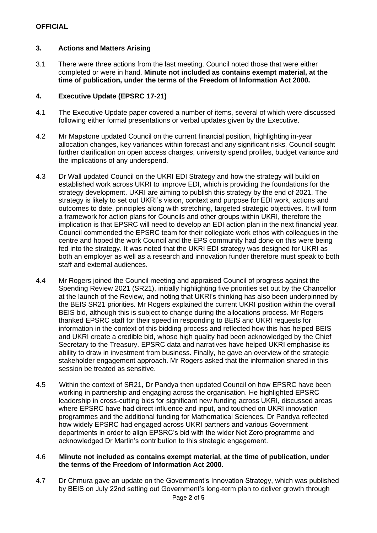### **3. Actions and Matters Arising**

3.1 There were three actions from the last meeting. Council noted those that were either completed or were in hand. **Minute not included as contains exempt material, at the time of publication, under the terms of the Freedom of Information Act 2000.**

## **4. Executive Update (EPSRC 17-21)**

- 4.1 The Executive Update paper covered a number of items, several of which were discussed following either formal presentations or verbal updates given by the Executive.
- 4.2 Mr Mapstone updated Council on the current financial position, highlighting in-year allocation changes, key variances within forecast and any significant risks. Council sought further clarification on open access charges, university spend profiles, budget variance and the implications of any underspend.
- 4.3 Dr Wall updated Council on the UKRI EDI Strategy and how the strategy will build on established work across UKRI to improve EDI, which is providing the foundations for the strategy development. UKRI are aiming to publish this strategy by the end of 2021. The strategy is likely to set out UKRI's vision, context and purpose for EDI work, actions and outcomes to date, principles along with stretching, targeted strategic objectives. It will form a framework for action plans for Councils and other groups within UKRI, therefore the implication is that EPSRC will need to develop an EDI action plan in the next financial year. Council commended the EPSRC team for their collegiate work ethos with colleagues in the centre and hoped the work Council and the EPS community had done on this were being fed into the strategy. It was noted that the UKRI EDI strategy was designed for UKRI as both an employer as well as a research and innovation funder therefore must speak to both staff and external audiences.
- 4.4 Mr Rogers joined the Council meeting and appraised Council of progress against the Spending Review 2021 (SR21), initially highlighting five priorities set out by the Chancellor at the launch of the Review, and noting that UKRI's thinking has also been underpinned by the BEIS SR21 priorities. Mr Rogers explained the current UKRI position within the overall BEIS bid, although this is subject to change during the allocations process. Mr Rogers thanked EPSRC staff for their speed in responding to BEIS and UKRI requests for information in the context of this bidding process and reflected how this has helped BEIS and UKRI create a credible bid, whose high quality had been acknowledged by the Chief Secretary to the Treasury. EPSRC data and narratives have helped UKRI emphasise its ability to draw in investment from business. Finally, he gave an overview of the strategic stakeholder engagement approach. Mr Rogers asked that the information shared in this session be treated as sensitive.
- 4.5 Within the context of SR21, Dr Pandya then updated Council on how EPSRC have been working in partnership and engaging across the organisation. He highlighted EPSRC leadership in cross-cutting bids for significant new funding across UKRI, discussed areas where EPSRC have had direct influence and input, and touched on UKRI innovation programmes and the additional funding for Mathematical Sciences. Dr Pandya reflected how widely EPSRC had engaged across UKRI partners and various Government departments in order to align EPSRC's bid with the wider Net Zero programme and acknowledged Dr Martin's contribution to this strategic engagement.

### 4.6 **Minute not included as contains exempt material, at the time of publication, under the terms of the Freedom of Information Act 2000.**

4.7 Dr Chmura gave an update on the Government's Innovation Strategy, which was published by BEIS on July 22nd setting out Government's long-term plan to deliver growth through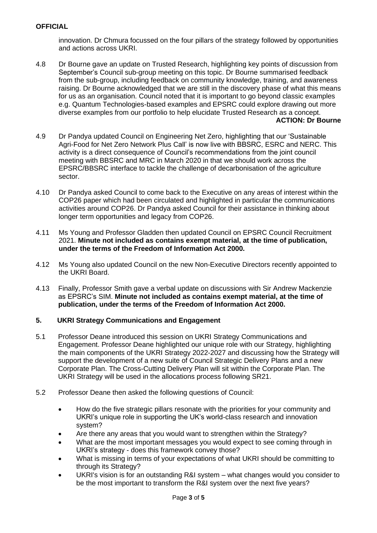innovation. Dr Chmura focussed on the four pillars of the strategy followed by opportunities and actions across UKRI.

- 4.8 Dr Bourne gave an update on Trusted Research, highlighting key points of discussion from September's Council sub-group meeting on this topic. Dr Bourne summarised feedback from the sub-group, including feedback on community knowledge, training, and awareness raising. Dr Bourne acknowledged that we are still in the discovery phase of what this means for us as an organisation. Council noted that it is important to go beyond classic examples e.g. Quantum Technologies-based examples and EPSRC could explore drawing out more diverse examples from our portfolio to help elucidate Trusted Research as a concept. **ACTION: Dr Bourne**
- 4.9 Dr Pandya updated Council on Engineering Net Zero, highlighting that our 'Sustainable Agri-Food for Net Zero Network Plus Call' is now live with BBSRC, ESRC and NERC. This activity is a direct consequence of Council's recommendations from the joint council meeting with BBSRC and MRC in March 2020 in that we should work across the EPSRC/BBSRC interface to tackle the challenge of decarbonisation of the agriculture sector.
- 4.10 Dr Pandya asked Council to come back to the Executive on any areas of interest within the COP26 paper which had been circulated and highlighted in particular the communications activities around COP26. Dr Pandya asked Council for their assistance in thinking about longer term opportunities and legacy from COP26.
- 4.11 Ms Young and Professor Gladden then updated Council on EPSRC Council Recruitment 2021. **Minute not included as contains exempt material, at the time of publication, under the terms of the Freedom of Information Act 2000.**
- 4.12 Ms Young also updated Council on the new Non-Executive Directors recently appointed to the UKRI Board.
- 4.13 Finally, Professor Smith gave a verbal update on discussions with Sir Andrew Mackenzie as EPSRC's SIM. **Minute not included as contains exempt material, at the time of publication, under the terms of the Freedom of Information Act 2000.**

### **5. UKRI Strategy Communications and Engagement**

- 5.1 Professor Deane introduced this session on UKRI Strategy Communications and Engagement. Professor Deane highlighted our unique role with our Strategy, highlighting the main components of the UKRI Strategy 2022-2027 and discussing how the Strategy will support the development of a new suite of Council Strategic Delivery Plans and a new Corporate Plan. The Cross-Cutting Delivery Plan will sit within the Corporate Plan. The UKRI Strategy will be used in the allocations process following SR21.
- 5.2 Professor Deane then asked the following questions of Council:
	- How do the five strategic pillars resonate with the priorities for your community and UKRI's unique role in supporting the UK's world-class research and innovation system?
	- Are there any areas that you would want to strengthen within the Strategy?
	- What are the most important messages you would expect to see coming through in UKRI's strategy - does this framework convey those?
	- What is missing in terms of your expectations of what UKRI should be committing to through its Strategy?
	- UKRI's vision is for an outstanding R&I system what changes would you consider to be the most important to transform the R&I system over the next five years?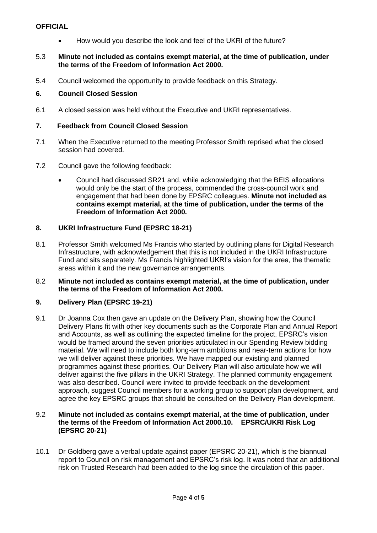### **OFFICIAL**

• How would you describe the look and feel of the UKRI of the future?

### 5.3 **Minute not included as contains exempt material, at the time of publication, under the terms of the Freedom of Information Act 2000.**

5.4 Council welcomed the opportunity to provide feedback on this Strategy.

## **6. Council Closed Session**

6.1 A closed session was held without the Executive and UKRI representatives.

## **7. Feedback from Council Closed Session**

- 7.1 When the Executive returned to the meeting Professor Smith reprised what the closed session had covered.
- 7.2 Council gave the following feedback:
	- Council had discussed SR21 and, while acknowledging that the BEIS allocations would only be the start of the process, commended the cross-council work and engagement that had been done by EPSRC colleagues. **Minute not included as contains exempt material, at the time of publication, under the terms of the Freedom of Information Act 2000.**

## **8. UKRI Infrastructure Fund (EPSRC 18-21)**

- 8.1 Professor Smith welcomed Ms Francis who started by outlining plans for Digital Research Infrastructure, with acknowledgement that this is not included in the UKRI Infrastructure Fund and sits separately. Ms Francis highlighted UKRI's vision for the area, the thematic areas within it and the new governance arrangements.
- 8.2 **Minute not included as contains exempt material, at the time of publication, under the terms of the Freedom of Information Act 2000.**

# **9. Delivery Plan (EPSRC 19-21)**

9.1 Dr Joanna Cox then gave an update on the Delivery Plan, showing how the Council Delivery Plans fit with other key documents such as the Corporate Plan and Annual Report and Accounts, as well as outlining the expected timeline for the project. EPSRC's vision would be framed around the seven priorities articulated in our Spending Review bidding material. We will need to include both long-term ambitions and near-term actions for how we will deliver against these priorities. We have mapped our existing and planned programmes against these priorities. Our Delivery Plan will also articulate how we will deliver against the five pillars in the UKRI Strategy. The planned community engagement was also described. Council were invited to provide feedback on the development approach, suggest Council members for a working group to support plan development, and agree the key EPSRC groups that should be consulted on the Delivery Plan development.

### 9.2 **Minute not included as contains exempt material, at the time of publication, under the terms of the Freedom of Information Act 2000.10. EPSRC/UKRI Risk Log (EPSRC 20-21)**

10.1 Dr Goldberg gave a verbal update against paper (EPSRC 20-21), which is the biannual report to Council on risk management and EPSRC's risk log. It was noted that an additional risk on Trusted Research had been added to the log since the circulation of this paper.